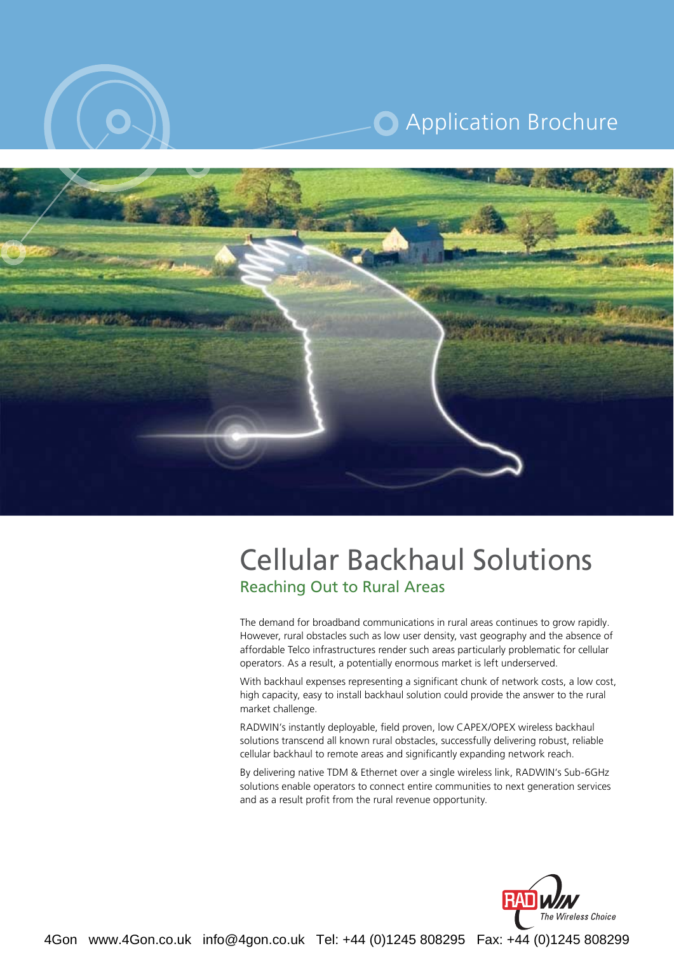

# **O** Application Brochure



## **Reaching Out to Rural Areas Cellular Backhaul Solutions**

The demand for broadband communications in rural areas continues to grow rapidly. However, rural obstacles such as low user density, vast geography and the absence of affordable Telco infrastructures render such areas particularly problematic for cellular operators. As a result, a potentially enormous market is left underserved.

With backhaul expenses representing a significant chunk of network costs, a low cost, high capacity, easy to install backhaul solution could provide the answer to the rural market challenge.

RADWIN's instantly deployable, field proven, low CAPEX/OPEX wireless backhaul solutions transcend all known rural obstacles, successfully delivering robust, reliable cellular backhaul to remote areas and significantly expanding network reach.

By delivering native TDM & Ethernet over a single wireless link, RADWIN's Sub-6GHz solutions enable operators to connect entire communities to next generation services and as a result profit from the rural revenue opportunity.



4Gon www.4Gon.co.uk info@4gon.co.uk Tel: +44 (0)1245 808295 Fax: +44 (0)1245 808299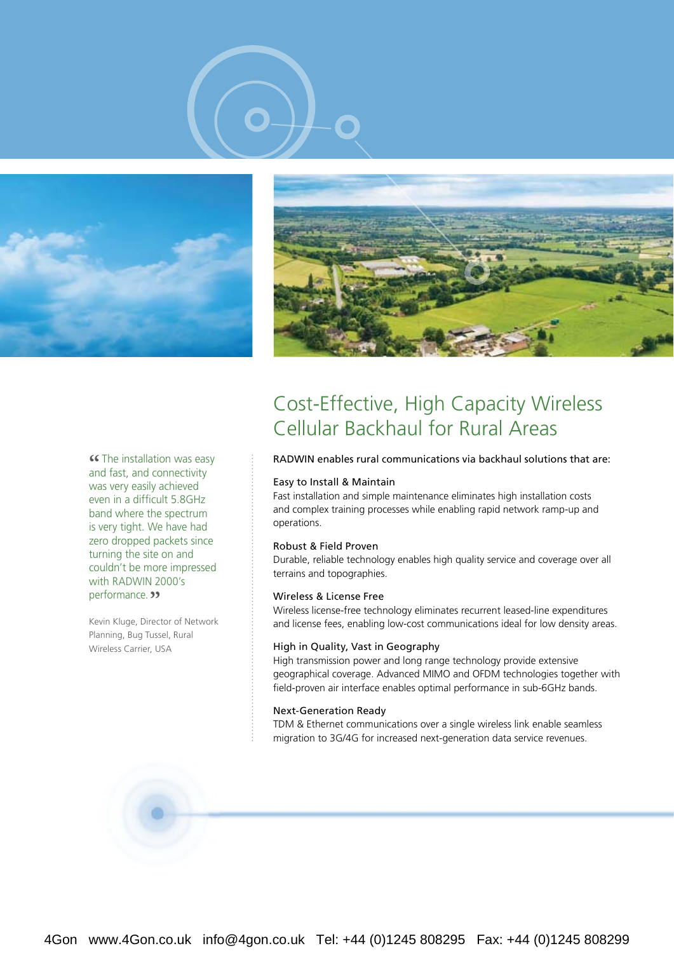





**Example installation was easy and fast, and connectivity** and fast, and connectivity was very easily achieved even in a difficult 5.8 GHz band where the spectrum is very tight. We have had zero dropped packets since turning the site on and couldn't be more impressed with RADWIN 2000's performance. **"** 

Kevin Kluge, Director of Network Planning, Bug Tussel, Rural Wireless Carrier, USA

## Cost-Effective, High Capacity Wireless Cellular Backhaul for Rural Areas

#### RADWIN enables rural communications via backhaul solutions that are:

#### Easy to Install & Maintain

Fast installation and simple maintenance eliminates high installation costs and complex training processes while enabling rapid network ramp-up and .operations

#### Robust & Field Proven

Durable, reliable technology enables high quality service and coverage over all terrains and topographies.

#### Wireless & License Free

Wireless license-free technology eliminates recurrent leased-line expenditures and license fees, enabling low-cost communications ideal for low density areas.

#### High in Quality, Vast in Geography

High transmission power and long range technology provide extensive geographical coverage. Advanced MIMO and OFDM technologies together with field-proven air interface enables optimal performance in sub-6GHz bands.

#### **Next-Generation Ready**

TDM & Ethernet communications over a single wireless link enable seamless migration to 3G/4G for increased next-generation data service revenues.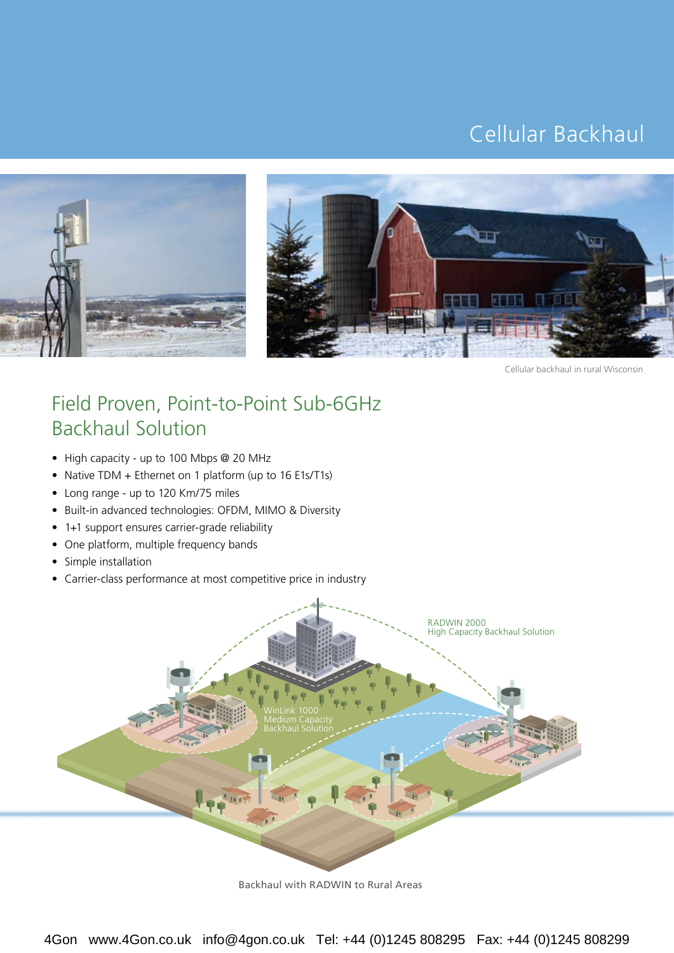## Cellular Backhaul





Cellular backhaul in rural Wisconsin

## Field Proven, Point-to-Point Sub-6GHz **Backhaul Solution**

- High capacity up to 100 Mbps @ 20 MHz
- Native TDM + Ethernet on 1 platform (up to 16 E1s/T1s)
- Long range up to 120 Km/75 miles
- Built-in advanced technologies: OFDM, MIMO & Diversity
- 1+1 support ensures carrier-grade reliability
- One platform, multiple frequency bands
- Simple installation
- Carrier-class performance at most competitive price in industry



Backhaul with RADWIN to Rural Areas